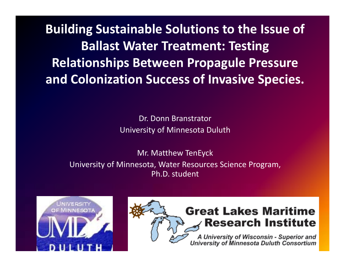**Building Sustainable Solutions to the Issue of Ballast Water Treatment: Testing Relationships Between Propagule Pressure and Colonization Success of Invasive Species.**

> Dr. Donn Branstrator University of Minnesota Duluth

Mr. Matthew TenEyck University of Minnesota, Water Resources Science Program, Ph.D. student





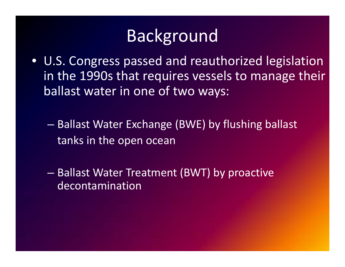- U.S. Congress passed and reauthorized legislation in the 1990s that requires vessels to manage their ballast water in one of two ways:
	- $\mathcal{L}_{\mathcal{A}}$  , where  $\mathcal{L}_{\mathcal{A}}$  is the set of the set of the set of the set of the set of the set of the set of the set of the set of the set of the set of the set of the set of the set of the set of the set of the  $-$  Ballast Water Exchange (BWE) by flushing ballast tanks in the open ocean
	- – $-$  Ballast Water Treatment (BWT) by proactive de contamination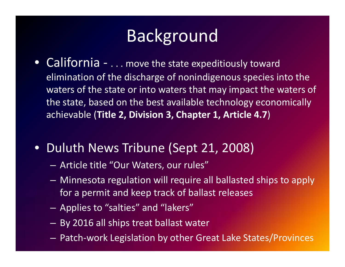- $\bullet$ ● California - . . . move the state expeditiously toward elimination of the discharge of nonindigenous species into the waters of the state or into waters that may impact the waters of the state, based on the best available technology economically achievable (**Title 2, Division 3, Chapter 1, Article 4 7.** )
- Duluth News Tribune (Sept 21, 2008)
	- Article title "Our Waters, our rules"
	- $-$  Minnesota regulation will require all ballasted ships to apply for a permit and keep track of ballast releases
	- $\mathcal{L}_{\mathcal{A}}$ Applies to "salties" and "lakers"
	- – $-$  By 2016 all ships treat ballast water
	- –Patch‐work Legislation by other Great Lake States/Provinces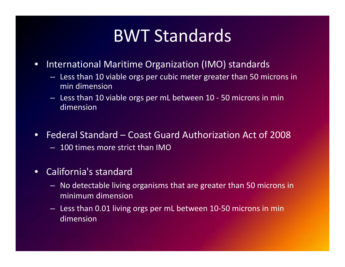## BWT Standards

- $\bullet$ **•** International Maritime Organization (IMO) standards
	- Less than 10 viable orgs per cubic meter greater than 50 microns in min dimension
	- Less than 10 viable orgs per mL between 10 ‐ 50 microns in min dimension
- • Federal Standard – Coast Guard Authorization Act of 2008 – 100 times more strict than IMO
- • California's standard
	- $-$  No detectable living organisms that are greater than 50 microns in minimum dimension
	- Less than 0.01 living orgs per mL between 10‐50 microns in min dimension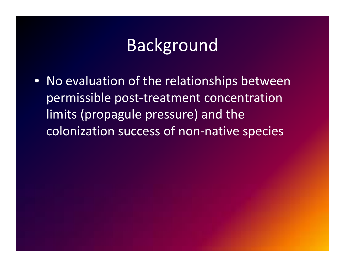• No evaluation of the relationships between permissible post‐treatment concentration limits (propagule pressure) and the colonization success of non‐native species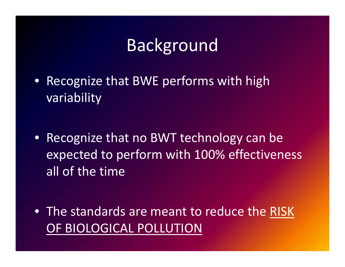- Recognize that BWE performs with high variability
- Recognize that no BWT technology can be expected to perform with 100% effectiveness all of the time

• The standards are meant to reduce the RISK OF BIOLOGICAL POLLUTION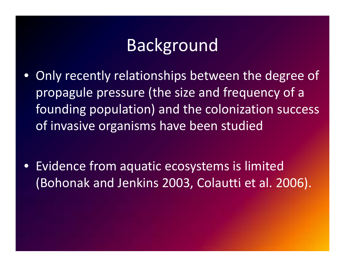- $\bullet$  Only recently relationships between the degree of propagule pressure (the size and frequency of <sup>a</sup> founding population) and the colonization success of invasive organisms have been studied
- $\bullet$  Evidence from aquatic ecosystems is limited (Bohonak and Jenkins 2003, Colautti et al. 2006).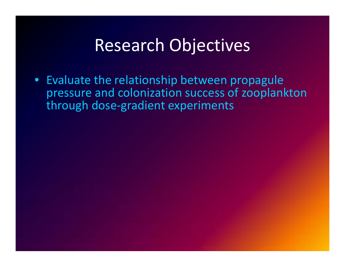#### Research Objectives

• Evaluate the relationship between propagule pressure and colonization success of zooplankton through dose‐gradient experiments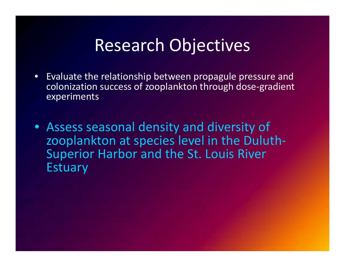#### Research Objectives

- • Evaluate the relationship between propagule pressure and lcolonization success of zooplankton through dose-gradient experiments
- Assess seasonal density and diversity of zooplankton at species level in the Duluth‐ Superior Harbor and the St. Louis River Estuary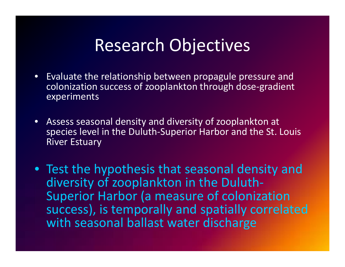#### Research Objectives

- • Evaluate the relationship between propagule pressure and lcolonization success of zooplankton through dose-gradient experiments
- Assess seasonal density and diversity of zooplankton at species level in the Duluth‐Superior Harbor and the St. Louis River Estuary
- Test the hypothesis that seasonal density and diversity of zooplankton in the Duluth‐ Superior Harbor (a measure of colonization success), is temporally and spatially correlated with seasonal ballast water discharge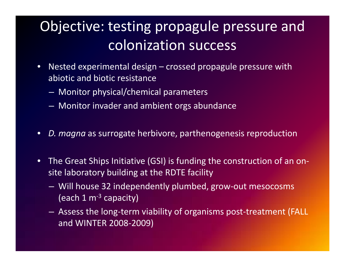#### Objective: testing propagule pressure and colonization success

- $\bullet$  Nested experimental design – crossed propagule pressure with abiotic and biotic resistance
	- Monitor physical/chemical parameters
	- Monitor invader and ambient orgs abundance
- •*D. magna* as surrogate herbivore, parthenogenesis reproduction
- •● The Great Ships Initiative (GSI) is funding the construction of an onsite laboratory building at the RDTE facility
	- Will house 32 independently plumbed, grow-out mesocosms (each  $1 \text{ m}^{-3}$  capacity)
	- $\mathcal{L}_{\mathcal{A}}$  Assess the long‐term viability of organisms post‐treatment (FALL and WINTER 2008‐2009)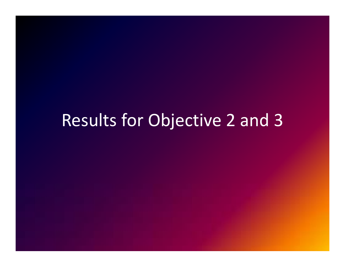#### Results for Objective 2 and 3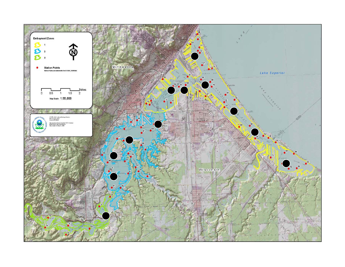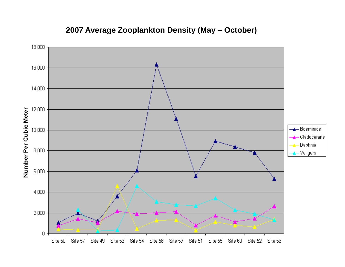

#### **2007 Average Zooplankton Density (May – October)**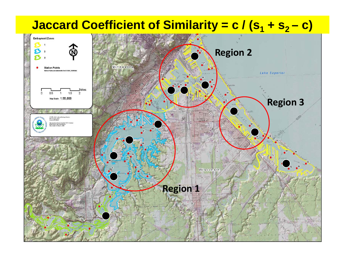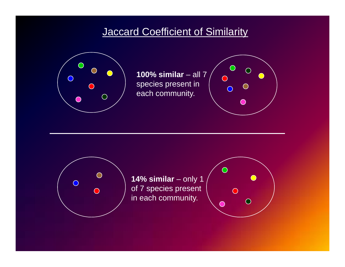#### **Jaccard Coefficient of Similarity**



**100% similar** – all 7 species present in each community.





**14% similar** – only 1 of 7 species present in each community.

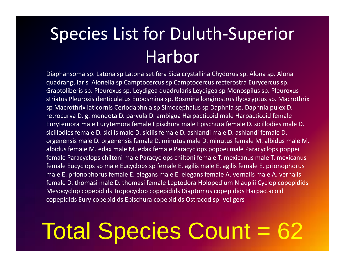# Species List for Duluth‐Superior Harbor

Diaphansoma sp. Latona sp Latona setifera Sida crystallina Chydorus sp. Alona sp. Alona quadrangularis Alonella sp Camptocercus sp Camptocercus recterostra Eurycercus sp. Graptoliberis sp. Pleuroxus sp. Leydigea quadrularis Leydigea sp Monospilus sp. Pleuroxus striatus Pleuroxis denticulatus Eubosmina sp. Bosmina longirostrus Ilyocryptus sp. Macrothrix sp Macrothrix laticornis Ceriodaphnia sp Simocephalus sp Daphnia sp. Daphnia pulex D. retrocurva D. g. mendota D. parvula D. ambigua Harpacticoid male Harpacticoid female Eurytemora male Eurytemora female Epischura male Epischura female D. sicillodies male D. sicillodies female D. sicilis male D. sicilis female D. ashlandi male D. ashlandi female D. orgenensis male D. orgenensis female D. minutus male D. minutus female M. albidus male M. albidus female M. edax male M. edax female Paracyclops poppei male Paracyclops poppei female Paracyclops chiltoni male Paracyclops chiltoni female T. mexicanus male T. mexicanus female Eucyclops sp male Eucyclops sp female E. agilis male E. agilis female E. prionophorus male E. prionophorus female E. elegans male E. elegans female A. vernalis male A. vernalis female D. thomasi male D. thomasi female Leptodora Holopedium N auplii Cyclop copepidids Mesocyclop copepidids Tropocyclop copepidids Diaptomus copepidids Harpactacoid copepidids Eury copepidids Epischura copepidids Ostracod sp. Veligers

# Total Species Count = 62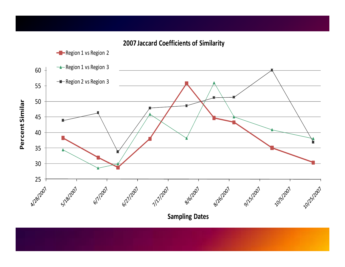**-**Region 1 vs Region 2 **A**-Region 1 vs Region 3 60 ---Region 2 vs Region 3 55 Percent Similar 50 45 **Percent Si** 40 35 30 25 6/7/2007 8/201207 Blancon 612/12007 S118/2007 9/15/2007 10/5/2007 10/25/2007 7/12/2007

**2007 Jaccard Coefficients of Similarity**

**Sampling Dates**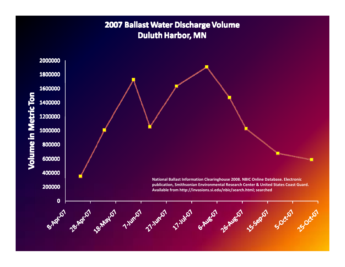#### 2007 Ballast Water Discharge Volume **Duluth Harbor, MN**

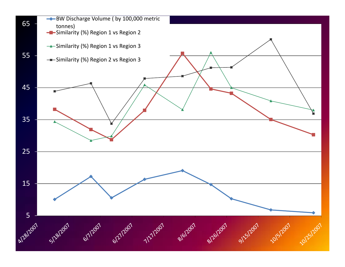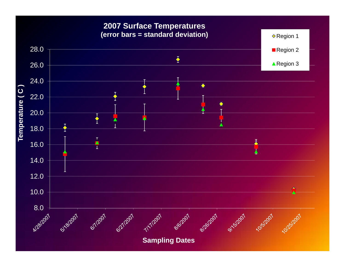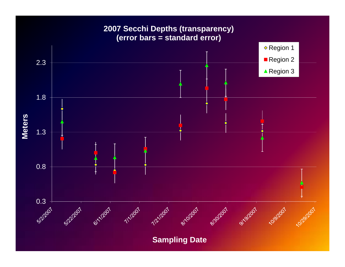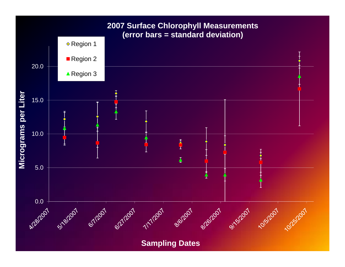